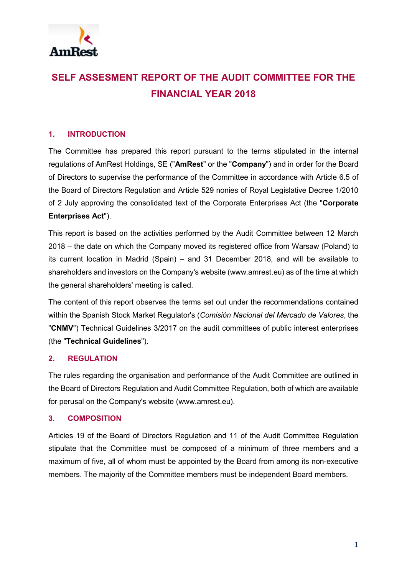

# **SELF ASSESMENT REPORT OF THE AUDIT COMMITTEE FOR THE FINANCIAL YEAR 2018**

## **1. INTRODUCTION**

The Committee has prepared this report pursuant to the terms stipulated in the internal regulations of AmRest Holdings, SE ("**AmRest**" or the "**Company**") and in order for the Board of Directors to supervise the performance of the Committee in accordance with Article 6.5 of the Board of Directors Regulation and Article 529 nonies of Royal Legislative Decree 1/2010 of 2 July approving the consolidated text of the Corporate Enterprises Act (the "**Corporate Enterprises Act**").

This report is based on the activities performed by the Audit Committee between 12 March 2018 – the date on which the Company moved its registered office from Warsaw (Poland) to its current location in Madrid (Spain) – and 31 December 2018, and will be available to shareholders and investors on the Company's website (www.amrest.eu) as of the time at which the general shareholders' meeting is called.

The content of this report observes the terms set out under the recommendations contained within the Spanish Stock Market Regulator's (*Comisión Nacional del Mercado de Valores*, the "**CNMV**") Technical Guidelines 3/2017 on the audit committees of public interest enterprises (the "**Technical Guidelines**").

### **2. REGULATION**

The rules regarding the organisation and performance of the Audit Committee are outlined in the Board of Directors Regulation and Audit Committee Regulation, both of which are available for perusal on the Company's website (www.amrest.eu).

### **3. COMPOSITION**

Articles 19 of the Board of Directors Regulation and 11 of the Audit Committee Regulation stipulate that the Committee must be composed of a minimum of three members and a maximum of five, all of whom must be appointed by the Board from among its non-executive members. The majority of the Committee members must be independent Board members.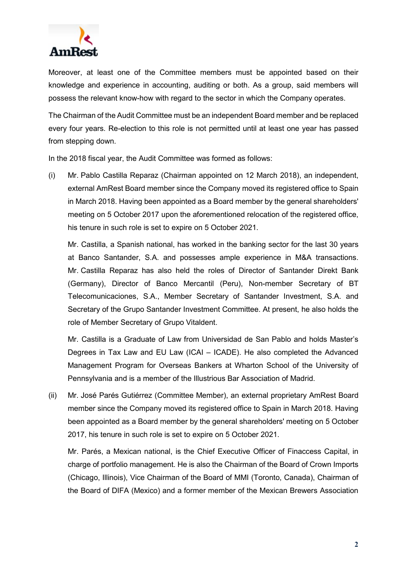

Moreover, at least one of the Committee members must be appointed based on their knowledge and experience in accounting, auditing or both. As a group, said members will possess the relevant know-how with regard to the sector in which the Company operates.

The Chairman of the Audit Committee must be an independent Board member and be replaced every four years. Re-election to this role is not permitted until at least one year has passed from stepping down.

In the 2018 fiscal year, the Audit Committee was formed as follows:

(i) Mr. Pablo Castilla Reparaz (Chairman appointed on 12 March 2018), an independent, external AmRest Board member since the Company moved its registered office to Spain in March 2018. Having been appointed as a Board member by the general shareholders' meeting on 5 October 2017 upon the aforementioned relocation of the registered office, his tenure in such role is set to expire on 5 October 2021.

Mr. Castilla, a Spanish national, has worked in the banking sector for the last 30 years at Banco Santander, S.A. and possesses ample experience in M&A transactions. Mr. Castilla Reparaz has also held the roles of Director of Santander Direkt Bank (Germany), Director of Banco Mercantil (Peru), Non-member Secretary of BT Telecomunicaciones, S.A., Member Secretary of Santander Investment, S.A. and Secretary of the Grupo Santander Investment Committee. At present, he also holds the role of Member Secretary of Grupo Vitaldent.

Mr. Castilla is a Graduate of Law from Universidad de San Pablo and holds Master's Degrees in Tax Law and EU Law (ICAI – ICADE). He also completed the Advanced Management Program for Overseas Bankers at Wharton School of the University of Pennsylvania and is a member of the Illustrious Bar Association of Madrid.

(ii) Mr. José Parés Gutiérrez (Committee Member), an external proprietary AmRest Board member since the Company moved its registered office to Spain in March 2018. Having been appointed as a Board member by the general shareholders' meeting on 5 October 2017, his tenure in such role is set to expire on 5 October 2021.

Mr. Parés, a Mexican national, is the Chief Executive Officer of Finaccess Capital, in charge of portfolio management. He is also the Chairman of the Board of Crown Imports (Chicago, Illinois), Vice Chairman of the Board of MMI (Toronto, Canada), Chairman of the Board of DIFA (Mexico) and a former member of the Mexican Brewers Association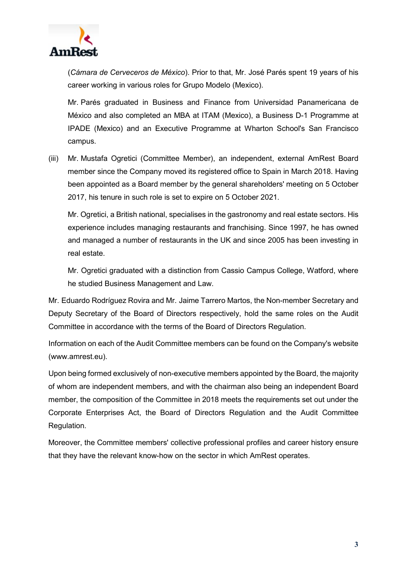

(*Cámara de Cerveceros de México*). Prior to that, Mr. José Parés spent 19 years of his career working in various roles for Grupo Modelo (Mexico).

Mr. Parés graduated in Business and Finance from Universidad Panamericana de México and also completed an MBA at ITAM (Mexico), a Business D-1 Programme at IPADE (Mexico) and an Executive Programme at Wharton School's San Francisco campus.

(iii) Mr. Mustafa Ogretici (Committee Member), an independent, external AmRest Board member since the Company moved its registered office to Spain in March 2018. Having been appointed as a Board member by the general shareholders' meeting on 5 October 2017, his tenure in such role is set to expire on 5 October 2021.

Mr. Ogretici, a British national, specialises in the gastronomy and real estate sectors. His experience includes managing restaurants and franchising. Since 1997, he has owned and managed a number of restaurants in the UK and since 2005 has been investing in real estate.

Mr. Ogretici graduated with a distinction from Cassio Campus College, Watford, where he studied Business Management and Law.

Mr. Eduardo Rodríguez Rovira and Mr. Jaime Tarrero Martos, the Non-member Secretary and Deputy Secretary of the Board of Directors respectively, hold the same roles on the Audit Committee in accordance with the terms of the Board of Directors Regulation.

Information on each of the Audit Committee members can be found on the Company's website (www.amrest.eu).

Upon being formed exclusively of non-executive members appointed by the Board, the majority of whom are independent members, and with the chairman also being an independent Board member, the composition of the Committee in 2018 meets the requirements set out under the Corporate Enterprises Act, the Board of Directors Regulation and the Audit Committee Regulation.

Moreover, the Committee members' collective professional profiles and career history ensure that they have the relevant know-how on the sector in which AmRest operates.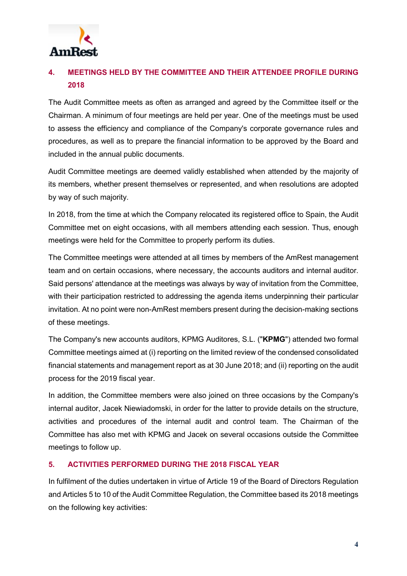

# **4. MEETINGS HELD BY THE COMMITTEE AND THEIR ATTENDEE PROFILE DURING 2018**

The Audit Committee meets as often as arranged and agreed by the Committee itself or the Chairman. A minimum of four meetings are held per year. One of the meetings must be used to assess the efficiency and compliance of the Company's corporate governance rules and procedures, as well as to prepare the financial information to be approved by the Board and included in the annual public documents.

Audit Committee meetings are deemed validly established when attended by the majority of its members, whether present themselves or represented, and when resolutions are adopted by way of such majority.

In 2018, from the time at which the Company relocated its registered office to Spain, the Audit Committee met on eight occasions, with all members attending each session. Thus, enough meetings were held for the Committee to properly perform its duties.

The Committee meetings were attended at all times by members of the AmRest management team and on certain occasions, where necessary, the accounts auditors and internal auditor. Said persons' attendance at the meetings was always by way of invitation from the Committee, with their participation restricted to addressing the agenda items underpinning their particular invitation. At no point were non-AmRest members present during the decision-making sections of these meetings.

The Company's new accounts auditors, KPMG Auditores, S.L. ("**KPMG**") attended two formal Committee meetings aimed at (i) reporting on the limited review of the condensed consolidated financial statements and management report as at 30 June 2018; and (ii) reporting on the audit process for the 2019 fiscal year.

In addition, the Committee members were also joined on three occasions by the Company's internal auditor, Jacek Niewiadomski, in order for the latter to provide details on the structure, activities and procedures of the internal audit and control team. The Chairman of the Committee has also met with KPMG and Jacek on several occasions outside the Committee meetings to follow up.

## **5. ACTIVITIES PERFORMED DURING THE 2018 FISCAL YEAR**

In fulfilment of the duties undertaken in virtue of Article 19 of the Board of Directors Regulation and Articles 5 to 10 of the Audit Committee Regulation, the Committee based its 2018 meetings on the following key activities: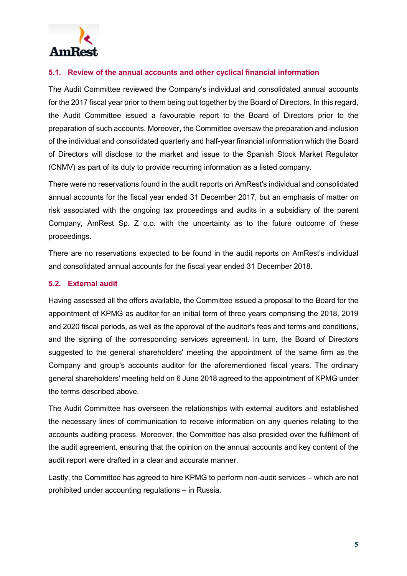

### **5.1. Review of the annual accounts and other cyclical financial information**

The Audit Committee reviewed the Company's individual and consolidated annual accounts for the 2017 fiscal year prior to them being put together by the Board of Directors. In this regard, the Audit Committee issued a favourable report to the Board of Directors prior to the preparation of such accounts. Moreover, the Committee oversaw the preparation and inclusion of the individual and consolidated quarterly and half-year financial information which the Board of Directors will disclose to the market and issue to the Spanish Stock Market Regulator (CNMV) as part of its duty to provide recurring information as a listed company.

There were no reservations found in the audit reports on AmRest's individual and consolidated annual accounts for the fiscal year ended 31 December 2017, but an emphasis of matter on risk associated with the ongoing tax proceedings and audits in a subsidiary of the parent Company, AmRest Sp. Z o.o. with the uncertainty as to the future outcome of these proceedings.

There are no reservations expected to be found in the audit reports on AmRest's individual and consolidated annual accounts for the fiscal year ended 31 December 2018.

#### **5.2. External audit**

Having assessed all the offers available, the Committee issued a proposal to the Board for the appointment of KPMG as auditor for an initial term of three years comprising the 2018, 2019 and 2020 fiscal periods, as well as the approval of the auditor's fees and terms and conditions, and the signing of the corresponding services agreement. In turn, the Board of Directors suggested to the general shareholders' meeting the appointment of the same firm as the Company and group's accounts auditor for the aforementioned fiscal years. The ordinary general shareholders' meeting held on 6 June 2018 agreed to the appointment of KPMG under the terms described above.

The Audit Committee has overseen the relationships with external auditors and established the necessary lines of communication to receive information on any queries relating to the accounts auditing process. Moreover, the Committee has also presided over the fulfilment of the audit agreement, ensuring that the opinion on the annual accounts and key content of the audit report were drafted in a clear and accurate manner.

Lastly, the Committee has agreed to hire KPMG to perform non-audit services – which are not prohibited under accounting regulations – in Russia.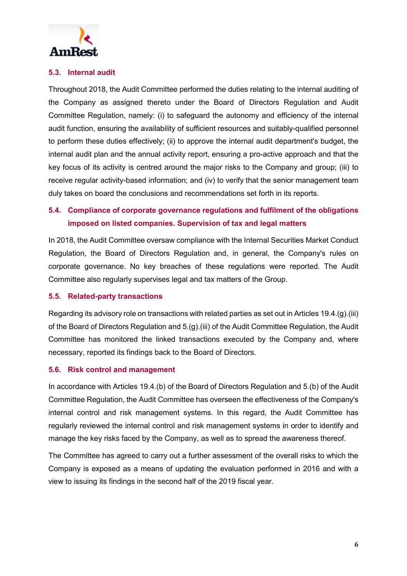

## **5.3. Internal audit**

Throughout 2018, the Audit Committee performed the duties relating to the internal auditing of the Company as assigned thereto under the Board of Directors Regulation and Audit Committee Regulation, namely: (i) to safeguard the autonomy and efficiency of the internal audit function, ensuring the availability of sufficient resources and suitably-qualified personnel to perform these duties effectively; (ii) to approve the internal audit department's budget, the internal audit plan and the annual activity report, ensuring a pro-active approach and that the key focus of its activity is centred around the major risks to the Company and group; (iii) to receive regular activity-based information; and (iv) to verify that the senior management team duly takes on board the conclusions and recommendations set forth in its reports.

# **5.4. Compliance of corporate governance regulations and fulfilment of the obligations imposed on listed companies. Supervision of tax and legal matters**

In 2018, the Audit Committee oversaw compliance with the Internal Securities Market Conduct Regulation, the Board of Directors Regulation and, in general, the Company's rules on corporate governance. No key breaches of these regulations were reported. The Audit Committee also regularly supervises legal and tax matters of the Group.

#### **5.5. Related-party transactions**

Regarding its advisory role on transactions with related parties as set out in Articles 19.4.(g).(iii) of the Board of Directors Regulation and 5.(g).(iii) of the Audit Committee Regulation, the Audit Committee has monitored the linked transactions executed by the Company and, where necessary, reported its findings back to the Board of Directors.

#### **5.6. Risk control and management**

In accordance with Articles 19.4.(b) of the Board of Directors Regulation and 5.(b) of the Audit Committee Regulation, the Audit Committee has overseen the effectiveness of the Company's internal control and risk management systems. In this regard, the Audit Committee has regularly reviewed the internal control and risk management systems in order to identify and manage the key risks faced by the Company, as well as to spread the awareness thereof.

The Committee has agreed to carry out a further assessment of the overall risks to which the Company is exposed as a means of updating the evaluation performed in 2016 and with a view to issuing its findings in the second half of the 2019 fiscal year.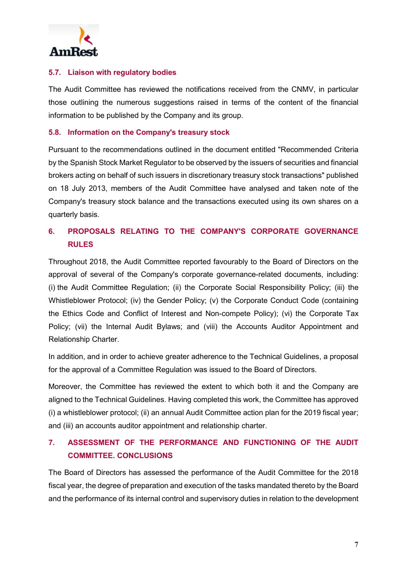

#### **5.7. Liaison with regulatory bodies**

The Audit Committee has reviewed the notifications received from the CNMV, in particular those outlining the numerous suggestions raised in terms of the content of the financial information to be published by the Company and its group.

#### **5.8. Information on the Company's treasury stock**

Pursuant to the recommendations outlined in the document entitled "Recommended Criteria by the Spanish Stock Market Regulator to be observed by the issuers of securities and financial brokers acting on behalf of such issuers in discretionary treasury stock transactions" published on 18 July 2013, members of the Audit Committee have analysed and taken note of the Company's treasury stock balance and the transactions executed using its own shares on a quarterly basis.

# **6. PROPOSALS RELATING TO THE COMPANY'S CORPORATE GOVERNANCE RULES**

Throughout 2018, the Audit Committee reported favourably to the Board of Directors on the approval of several of the Company's corporate governance-related documents, including: (i) the Audit Committee Regulation; (ii) the Corporate Social Responsibility Policy; (iii) the Whistleblower Protocol; (iv) the Gender Policy; (v) the Corporate Conduct Code (containing the Ethics Code and Conflict of Interest and Non-compete Policy); (vi) the Corporate Tax Policy; (vii) the Internal Audit Bylaws; and (viii) the Accounts Auditor Appointment and Relationship Charter.

In addition, and in order to achieve greater adherence to the Technical Guidelines, a proposal for the approval of a Committee Regulation was issued to the Board of Directors.

Moreover, the Committee has reviewed the extent to which both it and the Company are aligned to the Technical Guidelines. Having completed this work, the Committee has approved (i) a whistleblower protocol; (ii) an annual Audit Committee action plan for the 2019 fiscal year; and (iii) an accounts auditor appointment and relationship charter.

# **7. ASSESSMENT OF THE PERFORMANCE AND FUNCTIONING OF THE AUDIT COMMITTEE. CONCLUSIONS**

The Board of Directors has assessed the performance of the Audit Committee for the 2018 fiscal year, the degree of preparation and execution of the tasks mandated thereto by the Board and the performance of its internal control and supervisory duties in relation to the development